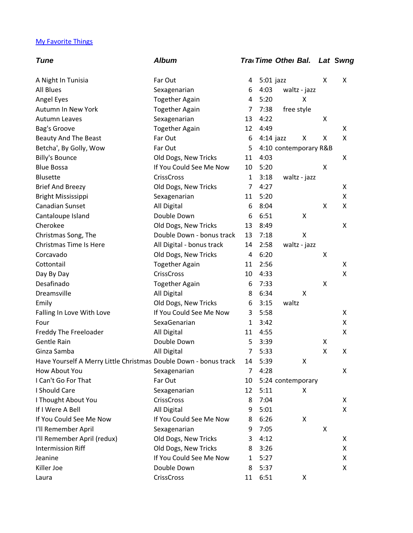## My Favorite Things

| <b>Album</b>                                                     |                |      |                                    |                                                                                            | Lat Swng                                   |
|------------------------------------------------------------------|----------------|------|------------------------------------|--------------------------------------------------------------------------------------------|--------------------------------------------|
| Far Out                                                          | 4              |      |                                    | x                                                                                          | X                                          |
| Sexagenarian                                                     | 6              | 4:03 |                                    |                                                                                            |                                            |
| <b>Together Again</b>                                            | 4              | 5:20 | Χ                                  |                                                                                            |                                            |
| <b>Together Again</b>                                            | 7              |      |                                    |                                                                                            |                                            |
| Sexagenarian                                                     | 13             | 4:22 |                                    | Χ                                                                                          |                                            |
| <b>Together Again</b>                                            | 12             | 4:49 |                                    |                                                                                            | X                                          |
| Far Out                                                          | 6              |      | Χ                                  | Χ                                                                                          | X                                          |
| Far Out                                                          | 5              |      |                                    |                                                                                            |                                            |
| Old Dogs, New Tricks                                             | 11             | 4:03 |                                    |                                                                                            | X                                          |
| If You Could See Me Now                                          | 10             | 5:20 |                                    | Χ                                                                                          |                                            |
| <b>CrissCross</b>                                                | $\mathbf{1}$   | 3:18 |                                    |                                                                                            |                                            |
| Old Dogs, New Tricks                                             | 7              | 4:27 |                                    |                                                                                            | X                                          |
| Sexagenarian                                                     | 11             | 5:20 |                                    |                                                                                            | X                                          |
| All Digital                                                      | 6              | 8:04 |                                    | Χ                                                                                          | X                                          |
| Double Down                                                      | 6              | 6:51 | X                                  |                                                                                            |                                            |
| Old Dogs, New Tricks                                             | 13             | 8:49 |                                    |                                                                                            | X                                          |
| Double Down - bonus track                                        | 13             | 7:18 | $\mathsf{X}$                       |                                                                                            |                                            |
| All Digital - bonus track                                        | 14             | 2:58 |                                    |                                                                                            |                                            |
| Old Dogs, New Tricks                                             | 4              | 6:20 |                                    | Χ                                                                                          |                                            |
| <b>Together Again</b>                                            | 11             | 2:56 |                                    |                                                                                            | X                                          |
| <b>CrissCross</b>                                                | 10             | 4:33 |                                    |                                                                                            | X                                          |
| <b>Together Again</b>                                            | 6              | 7:33 |                                    | Χ                                                                                          |                                            |
| All Digital                                                      | 8              | 6:34 | Χ                                  |                                                                                            |                                            |
| Old Dogs, New Tricks                                             | 6              | 3:15 |                                    |                                                                                            |                                            |
| If You Could See Me Now                                          | 3              | 5:58 |                                    |                                                                                            | X                                          |
| SexaGenarian                                                     | $\mathbf{1}$   | 3:42 |                                    |                                                                                            | Χ                                          |
| All Digital                                                      | 11             | 4:55 |                                    |                                                                                            | Χ                                          |
| Double Down                                                      | 5              | 3:39 |                                    | Χ                                                                                          |                                            |
| All Digital                                                      | 7              | 5:33 |                                    | Χ                                                                                          | X                                          |
| Have Yourself A Merry Little Christmas Double Down - bonus track | 14             | 5:39 | х                                  |                                                                                            |                                            |
| Sexagenarian                                                     | $\overline{7}$ | 4:28 |                                    |                                                                                            | X                                          |
| Far Out                                                          | 10             |      |                                    |                                                                                            |                                            |
| Sexagenarian                                                     | 12             | 5:11 | X                                  |                                                                                            |                                            |
| <b>CrissCross</b>                                                | 8              | 7:04 |                                    |                                                                                            | X                                          |
| All Digital                                                      | 9              | 5:01 |                                    |                                                                                            | X                                          |
| If You Could See Me Now                                          | 8              | 6:26 | X                                  |                                                                                            |                                            |
| Sexagenarian                                                     | 9              | 7:05 |                                    | Χ                                                                                          |                                            |
| Old Dogs, New Tricks                                             | 3              | 4:12 |                                    |                                                                                            | X                                          |
| Old Dogs, New Tricks                                             | 8              | 3:26 |                                    |                                                                                            | X                                          |
| If You Could See Me Now                                          | 1              | 5:27 |                                    |                                                                                            | X                                          |
| Double Down                                                      | 8              | 5:37 |                                    |                                                                                            | X                                          |
| CrissCross                                                       | 11             | 6:51 | Χ                                  |                                                                                            |                                            |
|                                                                  |                |      | $5:01$ jazz<br>7:38<br>$4:14$ jazz | Tra Time Othel Bal.<br>waltz - jazz<br>free style<br>waltz - jazz<br>waltz - jazz<br>waltz | 4:10 contemporary R&B<br>5:24 contemporary |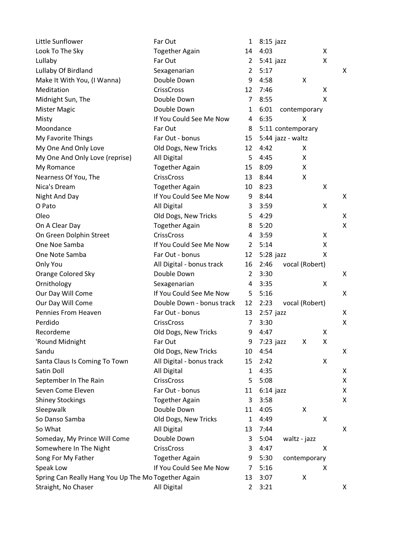| Little Sunflower                                    | Far Out                   | 1              | $8:15$ jazz |                   |   |
|-----------------------------------------------------|---------------------------|----------------|-------------|-------------------|---|
| Look To The Sky                                     | <b>Together Again</b>     | 14             | 4:03        | X                 |   |
| Lullaby                                             | Far Out                   | 2              | $5:41$ jazz | X                 |   |
| Lullaby Of Birdland                                 | Sexagenarian              | 2              | 5:17        |                   | X |
| Make It With You, (I Wanna)                         | Double Down               | 9              | 4:58        | X                 |   |
| Meditation                                          | <b>CrissCross</b>         | 12             | 7:46        | X                 |   |
| Midnight Sun, The                                   | Double Down               | 7              | 8:55        | X                 |   |
| <b>Mister Magic</b>                                 | Double Down               | 1              | 6:01        | contemporary      |   |
| Misty                                               | If You Could See Me Now   | 4              | 6:35        | Χ                 |   |
| Moondance                                           | Far Out                   | 8              |             | 5:11 contemporary |   |
| My Favorite Things                                  | Far Out - bonus           | 15             |             | 5:44 jazz - waltz |   |
| My One And Only Love                                | Old Dogs, New Tricks      | 12             | 4:42        | X.                |   |
| My One And Only Love (reprise)                      | All Digital               | 5              | 4:45        | Χ                 |   |
| My Romance                                          | <b>Together Again</b>     | 15             | 8:09        | Χ                 |   |
| Nearness Of You, The                                | <b>CrissCross</b>         | 13             | 8:44        | X                 |   |
| Nica's Dream                                        | <b>Together Again</b>     | 10             | 8:23        | X                 |   |
| Night And Day                                       | If You Could See Me Now   | 9              | 8:44        |                   | X |
| O Pato                                              | All Digital               | 3              | 3:59        | X                 |   |
| Oleo                                                | Old Dogs, New Tricks      | 5              | 4:29        |                   | X |
| On A Clear Day                                      | <b>Together Again</b>     | 8              | 5:20        |                   | X |
| On Green Dolphin Street                             | <b>CrissCross</b>         | 4              | 3:59        | X                 |   |
| One Noe Samba                                       | If You Could See Me Now   | $\overline{2}$ | 5:14        | X                 |   |
| One Note Samba                                      | Far Out - bonus           | 12             | $5:28$ jazz | X                 |   |
| Only You                                            | All Digital - bonus track | 16             | 2:46        | vocal (Robert)    |   |
| <b>Orange Colored Sky</b>                           | Double Down               | $\overline{2}$ | 3:30        |                   | X |
| Ornithology                                         | Sexagenarian              | 4              | 3:35        | X                 |   |
| Our Day Will Come                                   | If You Could See Me Now   | 5              | 5:16        |                   | X |
| Our Day Will Come                                   | Double Down - bonus track | 12             | 2:23        | vocal (Robert)    |   |
| Pennies From Heaven                                 | Far Out - bonus           | 13             | $2:57$ jazz |                   | X |
| Perdido                                             | <b>CrissCross</b>         | 7              | 3:30        |                   | X |
| Recordeme                                           | Old Dogs, New Tricks      | 9              | 4:47        | X                 |   |
| 'Round Midnight                                     | Far Out                   | 9              | $7:23$ jazz | Χ<br>Χ            |   |
| Sandu                                               | Old Dogs, New Tricks      | 10             | 4:54        |                   | X |
| Santa Claus Is Coming To Town                       | All Digital - bonus track | 15             | 2:42        | X                 |   |
| Satin Doll                                          | All Digital               | $\mathbf{1}$   | 4:35        |                   | X |
| September In The Rain                               | <b>CrissCross</b>         | 5              | 5:08        |                   | X |
| Seven Come Eleven                                   | Far Out - bonus           | 11             | $6:14$ jazz |                   | X |
| <b>Shiney Stockings</b>                             | <b>Together Again</b>     | 3              | 3:58        |                   | X |
| Sleepwalk                                           | Double Down               | 11             | 4:05        | Χ                 |   |
| So Danso Samba                                      | Old Dogs, New Tricks      | 1              | 4:49        | X                 |   |
| So What                                             | All Digital               | 13             | 7:44        |                   | X |
| Someday, My Prince Will Come                        | Double Down               | 3              | 5:04        | waltz - jazz      |   |
| Somewhere In The Night                              | <b>CrissCross</b>         | 3              | 4:47        | X                 |   |
| Song For My Father                                  | <b>Together Again</b>     | 9              | 5:30        | contemporary      |   |
| Speak Low                                           | If You Could See Me Now   | 7              | 5:16        | X                 |   |
| Spring Can Really Hang You Up The Mo Together Again |                           | 13             | 3:07        | Χ                 |   |
| Straight, No Chaser                                 | All Digital               | $\overline{2}$ | 3:21        |                   | X |